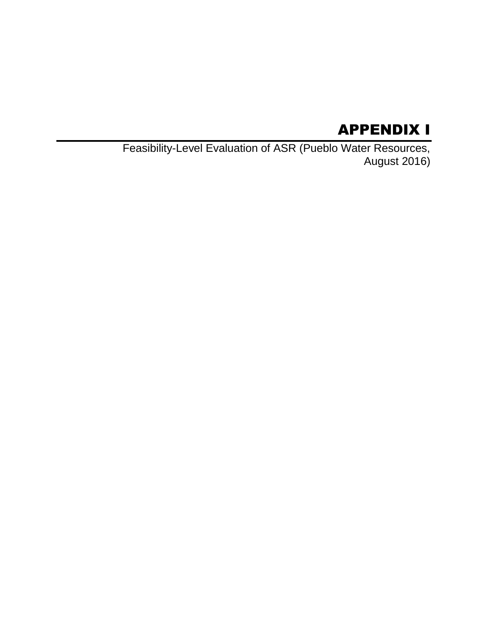# APPENDIX I

Feasibility-Level Evaluation of ASR (Pueblo Water Resources, August 2016)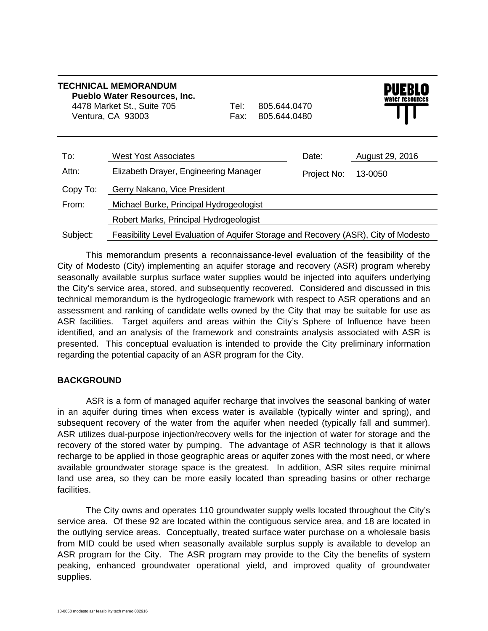| <b>TECHNICAL MEMORANDUM</b><br><b>Pueblo Water Resources, Inc.</b><br>4478 Market St., Suite 705<br>Ventura, CA 93003 |                                                                                     | Tel:⊦<br>Fax: | 805.644.0470<br>805.644.0480 |             | WATEF FESOUFCES |  |
|-----------------------------------------------------------------------------------------------------------------------|-------------------------------------------------------------------------------------|---------------|------------------------------|-------------|-----------------|--|
| To:                                                                                                                   | West Yost Associates                                                                |               |                              | Date:       | August 29, 2016 |  |
| Attn:                                                                                                                 | Elizabeth Drayer, Engineering Manager                                               |               |                              | Project No: | 13-0050         |  |
| Copy To:                                                                                                              | Gerry Nakano, Vice President                                                        |               |                              |             |                 |  |
| From:                                                                                                                 | Michael Burke, Principal Hydrogeologist                                             |               |                              |             |                 |  |
|                                                                                                                       | Robert Marks, Principal Hydrogeologist                                              |               |                              |             |                 |  |
| Subject:                                                                                                              | Feasibility Level Evaluation of Aquifer Storage and Recovery (ASR), City of Modesto |               |                              |             |                 |  |

This memorandum presents a reconnaissance-level evaluation of the feasibility of the City of Modesto (City) implementing an aquifer storage and recovery (ASR) program whereby seasonally available surplus surface water supplies would be injected into aquifers underlying the City's service area, stored, and subsequently recovered. Considered and discussed in this technical memorandum is the hydrogeologic framework with respect to ASR operations and an assessment and ranking of candidate wells owned by the City that may be suitable for use as ASR facilities. Target aquifers and areas within the City's Sphere of Influence have been identified, and an analysis of the framework and constraints analysis associated with ASR is presented. This conceptual evaluation is intended to provide the City preliminary information regarding the potential capacity of an ASR program for the City.

# **BACKGROUND**

ASR is a form of managed aquifer recharge that involves the seasonal banking of water in an aquifer during times when excess water is available (typically winter and spring), and subsequent recovery of the water from the aquifer when needed (typically fall and summer). ASR utilizes dual-purpose injection/recovery wells for the injection of water for storage and the recovery of the stored water by pumping. The advantage of ASR technology is that it allows recharge to be applied in those geographic areas or aquifer zones with the most need, or where available groundwater storage space is the greatest. In addition, ASR sites require minimal land use area, so they can be more easily located than spreading basins or other recharge facilities.

The City owns and operates 110 groundwater supply wells located throughout the City's service area. Of these 92 are located within the contiguous service area, and 18 are located in the outlying service areas. Conceptually, treated surface water purchase on a wholesale basis from MID could be used when seasonally available surplus supply is available to develop an ASR program for the City. The ASR program may provide to the City the benefits of system peaking, enhanced groundwater operational yield, and improved quality of groundwater supplies.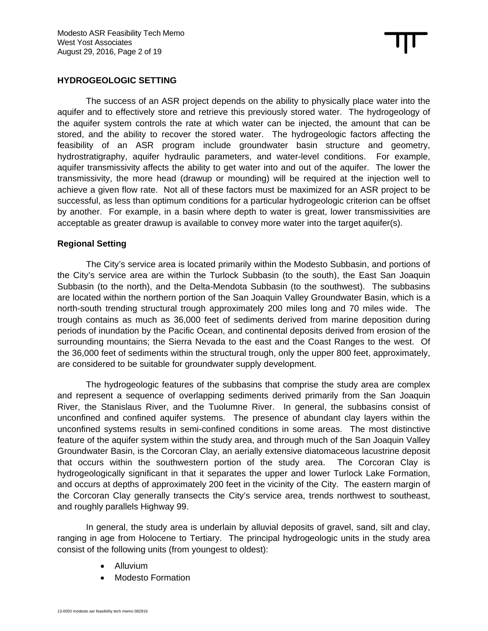## **HYDROGEOLOGIC SETTING**

The success of an ASR project depends on the ability to physically place water into the aquifer and to effectively store and retrieve this previously stored water. The hydrogeology of the aquifer system controls the rate at which water can be injected, the amount that can be stored, and the ability to recover the stored water. The hydrogeologic factors affecting the feasibility of an ASR program include groundwater basin structure and geometry, hydrostratigraphy, aquifer hydraulic parameters, and water-level conditions. For example, aquifer transmissivity affects the ability to get water into and out of the aquifer. The lower the transmissivity, the more head (drawup or mounding) will be required at the injection well to achieve a given flow rate. Not all of these factors must be maximized for an ASR project to be successful, as less than optimum conditions for a particular hydrogeologic criterion can be offset by another. For example, in a basin where depth to water is great, lower transmissivities are acceptable as greater drawup is available to convey more water into the target aquifer(s).

#### **Regional Setting**

The City's service area is located primarily within the Modesto Subbasin, and portions of the City's service area are within the Turlock Subbasin (to the south), the East San Joaquin Subbasin (to the north), and the Delta-Mendota Subbasin (to the southwest). The subbasins are located within the northern portion of the San Joaquin Valley Groundwater Basin, which is a north-south trending structural trough approximately 200 miles long and 70 miles wide. The trough contains as much as 36,000 feet of sediments derived from marine deposition during periods of inundation by the Pacific Ocean, and continental deposits derived from erosion of the surrounding mountains; the Sierra Nevada to the east and the Coast Ranges to the west. Of the 36,000 feet of sediments within the structural trough, only the upper 800 feet, approximately, are considered to be suitable for groundwater supply development.

The hydrogeologic features of the subbasins that comprise the study area are complex and represent a sequence of overlapping sediments derived primarily from the San Joaquin River, the Stanislaus River, and the Tuolumne River. In general, the subbasins consist of unconfined and confined aquifer systems. The presence of abundant clay layers within the unconfined systems results in semi-confined conditions in some areas. The most distinctive feature of the aquifer system within the study area, and through much of the San Joaquin Valley Groundwater Basin, is the Corcoran Clay, an aerially extensive diatomaceous lacustrine deposit that occurs within the southwestern portion of the study area. The Corcoran Clay is hydrogeologically significant in that it separates the upper and lower Turlock Lake Formation, and occurs at depths of approximately 200 feet in the vicinity of the City. The eastern margin of the Corcoran Clay generally transects the City's service area, trends northwest to southeast, and roughly parallels Highway 99.

In general, the study area is underlain by alluvial deposits of gravel, sand, silt and clay, ranging in age from Holocene to Tertiary. The principal hydrogeologic units in the study area consist of the following units (from youngest to oldest):

- Alluvium
- Modesto Formation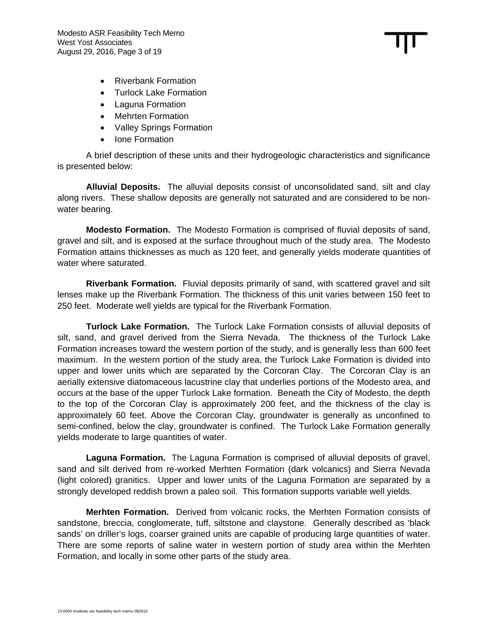- Riverbank Formation
- Turlock Lake Formation
- Laguna Formation
- Mehrten Formation
- Valley Springs Formation
- Ione Formation

A brief description of these units and their hydrogeologic characteristics and significance is presented below:

**Alluvial Deposits.** The alluvial deposits consist of unconsolidated sand, silt and clay along rivers. These shallow deposits are generally not saturated and are considered to be nonwater bearing.

**Modesto Formation.** The Modesto Formation is comprised of fluvial deposits of sand, gravel and silt, and is exposed at the surface throughout much of the study area. The Modesto Formation attains thicknesses as much as 120 feet, and generally yields moderate quantities of water where saturated.

**Riverbank Formation.** Fluvial deposits primarily of sand, with scattered gravel and silt lenses make up the Riverbank Formation. The thickness of this unit varies between 150 feet to 250 feet. Moderate well yields are typical for the Riverbank Formation.

**Turlock Lake Formation.** The Turlock Lake Formation consists of alluvial deposits of silt, sand, and gravel derived from the Sierra Nevada. The thickness of the Turlock Lake Formation increases toward the western portion of the study, and is generally less than 600 feet maximum. In the western portion of the study area, the Turlock Lake Formation is divided into upper and lower units which are separated by the Corcoran Clay. The Corcoran Clay is an aerially extensive diatomaceous lacustrine clay that underlies portions of the Modesto area, and occurs at the base of the upper Turlock Lake formation. Beneath the City of Modesto, the depth to the top of the Corcoran Clay is approximately 200 feet, and the thickness of the clay is approximately 60 feet. Above the Corcoran Clay, groundwater is generally as unconfined to semi-confined, below the clay, groundwater is confined. The Turlock Lake Formation generally yields moderate to large quantities of water.

**Laguna Formation.** The Laguna Formation is comprised of alluvial deposits of gravel, sand and silt derived from re-worked Merhten Formation (dark volcanics) and Sierra Nevada (light colored) granitics. Upper and lower units of the Laguna Formation are separated by a strongly developed reddish brown a paleo soil. This formation supports variable well yields.

**Merhten Formation.** Derived from volcanic rocks, the Merhten Formation consists of sandstone, breccia, conglomerate, tuff, siltstone and claystone. Generally described as 'black sands' on driller's logs, coarser grained units are capable of producing large quantities of water. There are some reports of saline water in western portion of study area within the Merhten Formation, and locally in some other parts of the study area.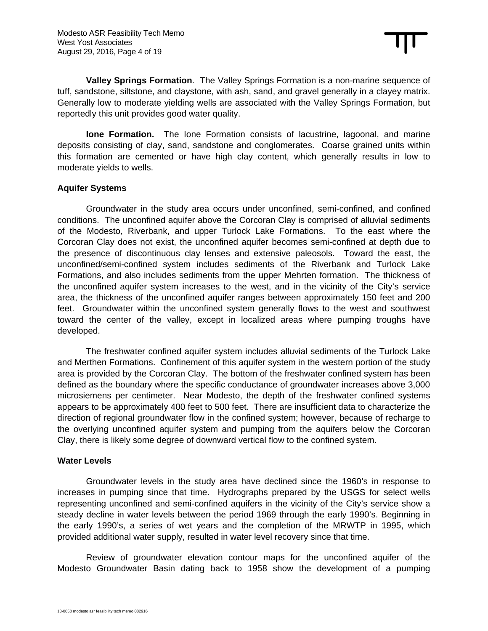**Valley Springs Formation**. The Valley Springs Formation is a non-marine sequence of tuff, sandstone, siltstone, and claystone, with ash, sand, and gravel generally in a clayey matrix. Generally low to moderate yielding wells are associated with the Valley Springs Formation, but reportedly this unit provides good water quality.

**Ione Formation.** The Ione Formation consists of lacustrine, lagoonal, and marine deposits consisting of clay, sand, sandstone and conglomerates. Coarse grained units within this formation are cemented or have high clay content, which generally results in low to moderate yields to wells.

# **Aquifer Systems**

Groundwater in the study area occurs under unconfined, semi-confined, and confined conditions. The unconfined aquifer above the Corcoran Clay is comprised of alluvial sediments of the Modesto, Riverbank, and upper Turlock Lake Formations. To the east where the Corcoran Clay does not exist, the unconfined aquifer becomes semi-confined at depth due to the presence of discontinuous clay lenses and extensive paleosols. Toward the east, the unconfined/semi-confined system includes sediments of the Riverbank and Turlock Lake Formations, and also includes sediments from the upper Mehrten formation. The thickness of the unconfined aquifer system increases to the west, and in the vicinity of the City's service area, the thickness of the unconfined aquifer ranges between approximately 150 feet and 200 feet. Groundwater within the unconfined system generally flows to the west and southwest toward the center of the valley, except in localized areas where pumping troughs have developed.

The freshwater confined aquifer system includes alluvial sediments of the Turlock Lake and Merthen Formations. Confinement of this aquifer system in the western portion of the study area is provided by the Corcoran Clay. The bottom of the freshwater confined system has been defined as the boundary where the specific conductance of groundwater increases above 3,000 microsiemens per centimeter. Near Modesto, the depth of the freshwater confined systems appears to be approximately 400 feet to 500 feet. There are insufficient data to characterize the direction of regional groundwater flow in the confined system; however, because of recharge to the overlying unconfined aquifer system and pumping from the aquifers below the Corcoran Clay, there is likely some degree of downward vertical flow to the confined system.

#### **Water Levels**

Groundwater levels in the study area have declined since the 1960's in response to increases in pumping since that time. Hydrographs prepared by the USGS for select wells representing unconfined and semi-confined aquifers in the vicinity of the City's service show a steady decline in water levels between the period 1969 through the early 1990's. Beginning in the early 1990's, a series of wet years and the completion of the MRWTP in 1995, which provided additional water supply, resulted in water level recovery since that time.

Review of groundwater elevation contour maps for the unconfined aquifer of the Modesto Groundwater Basin dating back to 1958 show the development of a pumping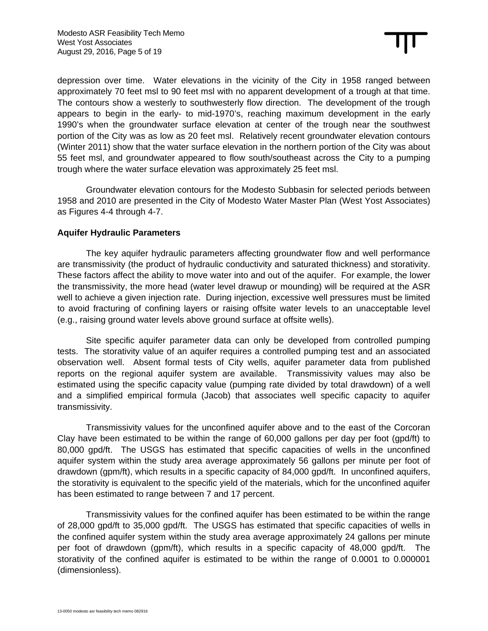depression over time. Water elevations in the vicinity of the City in 1958 ranged between approximately 70 feet msl to 90 feet msl with no apparent development of a trough at that time. The contours show a westerly to southwesterly flow direction. The development of the trough appears to begin in the early- to mid-1970's, reaching maximum development in the early 1990's when the groundwater surface elevation at center of the trough near the southwest portion of the City was as low as 20 feet msl. Relatively recent groundwater elevation contours (Winter 2011) show that the water surface elevation in the northern portion of the City was about 55 feet msl, and groundwater appeared to flow south/southeast across the City to a pumping trough where the water surface elevation was approximately 25 feet msl.

Groundwater elevation contours for the Modesto Subbasin for selected periods between 1958 and 2010 are presented in the City of Modesto Water Master Plan (West Yost Associates) as Figures 4-4 through 4-7.

# **Aquifer Hydraulic Parameters**

The key aquifer hydraulic parameters affecting groundwater flow and well performance are transmissivity (the product of hydraulic conductivity and saturated thickness) and storativity. These factors affect the ability to move water into and out of the aquifer. For example, the lower the transmissivity, the more head (water level drawup or mounding) will be required at the ASR well to achieve a given injection rate. During injection, excessive well pressures must be limited to avoid fracturing of confining layers or raising offsite water levels to an unacceptable level (e.g., raising ground water levels above ground surface at offsite wells).

Site specific aquifer parameter data can only be developed from controlled pumping tests. The storativity value of an aquifer requires a controlled pumping test and an associated observation well. Absent formal tests of City wells, aquifer parameter data from published reports on the regional aquifer system are available. Transmissivity values may also be estimated using the specific capacity value (pumping rate divided by total drawdown) of a well and a simplified empirical formula (Jacob) that associates well specific capacity to aquifer transmissivity.

Transmissivity values for the unconfined aquifer above and to the east of the Corcoran Clay have been estimated to be within the range of 60,000 gallons per day per foot (gpd/ft) to 80,000 gpd/ft. The USGS has estimated that specific capacities of wells in the unconfined aquifer system within the study area average approximately 56 gallons per minute per foot of drawdown (gpm/ft), which results in a specific capacity of 84,000 gpd/ft. In unconfined aquifers, the storativity is equivalent to the specific yield of the materials, which for the unconfined aquifer has been estimated to range between 7 and 17 percent.

Transmissivity values for the confined aquifer has been estimated to be within the range of 28,000 gpd/ft to 35,000 gpd/ft. The USGS has estimated that specific capacities of wells in the confined aquifer system within the study area average approximately 24 gallons per minute per foot of drawdown (gpm/ft), which results in a specific capacity of 48,000 gpd/ft. The storativity of the confined aquifer is estimated to be within the range of 0.0001 to 0.000001 (dimensionless).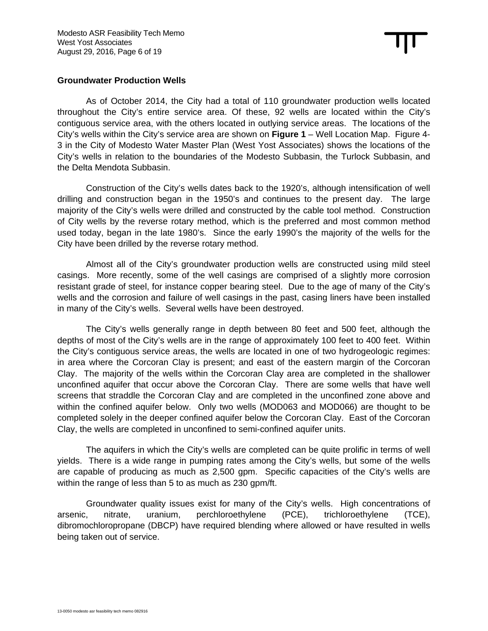## **Groundwater Production Wells**

As of October 2014, the City had a total of 110 groundwater production wells located throughout the City's entire service area. Of these, 92 wells are located within the City's contiguous service area, with the others located in outlying service areas. The locations of the City's wells within the City's service area are shown on **Figure 1** – Well Location Map. Figure 4- 3 in the City of Modesto Water Master Plan (West Yost Associates) shows the locations of the City's wells in relation to the boundaries of the Modesto Subbasin, the Turlock Subbasin, and the Delta Mendota Subbasin.

Construction of the City's wells dates back to the 1920's, although intensification of well drilling and construction began in the 1950's and continues to the present day. The large majority of the City's wells were drilled and constructed by the cable tool method. Construction of City wells by the reverse rotary method, which is the preferred and most common method used today, began in the late 1980's. Since the early 1990's the majority of the wells for the City have been drilled by the reverse rotary method.

Almost all of the City's groundwater production wells are constructed using mild steel casings. More recently, some of the well casings are comprised of a slightly more corrosion resistant grade of steel, for instance copper bearing steel. Due to the age of many of the City's wells and the corrosion and failure of well casings in the past, casing liners have been installed in many of the City's wells. Several wells have been destroyed.

The City's wells generally range in depth between 80 feet and 500 feet, although the depths of most of the City's wells are in the range of approximately 100 feet to 400 feet. Within the City's contiguous service areas, the wells are located in one of two hydrogeologic regimes: in area where the Corcoran Clay is present; and east of the eastern margin of the Corcoran Clay. The majority of the wells within the Corcoran Clay area are completed in the shallower unconfined aquifer that occur above the Corcoran Clay. There are some wells that have well screens that straddle the Corcoran Clay and are completed in the unconfined zone above and within the confined aquifer below. Only two wells (MOD063 and MOD066) are thought to be completed solely in the deeper confined aquifer below the Corcoran Clay. East of the Corcoran Clay, the wells are completed in unconfined to semi-confined aquifer units.

The aquifers in which the City's wells are completed can be quite prolific in terms of well yields. There is a wide range in pumping rates among the City's wells, but some of the wells are capable of producing as much as 2,500 gpm. Specific capacities of the City's wells are within the range of less than 5 to as much as 230 gpm/ft.

Groundwater quality issues exist for many of the City's wells. High concentrations of arsenic, nitrate, uranium, perchloroethylene (PCE), trichloroethylene (TCE), dibromochloropropane (DBCP) have required blending where allowed or have resulted in wells being taken out of service.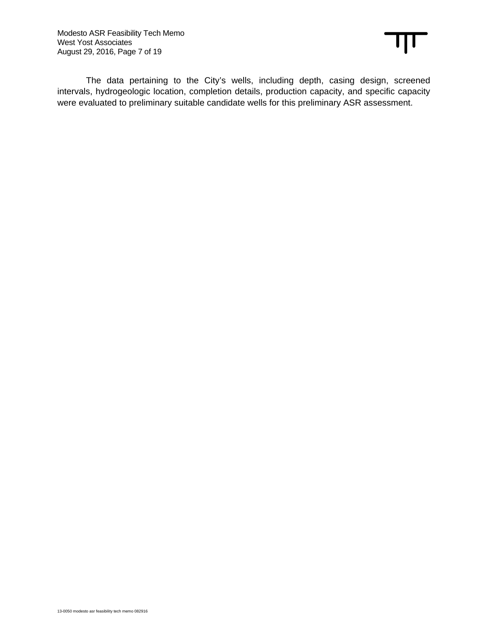The data pertaining to the City's wells, including depth, casing design, screened intervals, hydrogeologic location, completion details, production capacity, and specific capacity were evaluated to preliminary suitable candidate wells for this preliminary ASR assessment.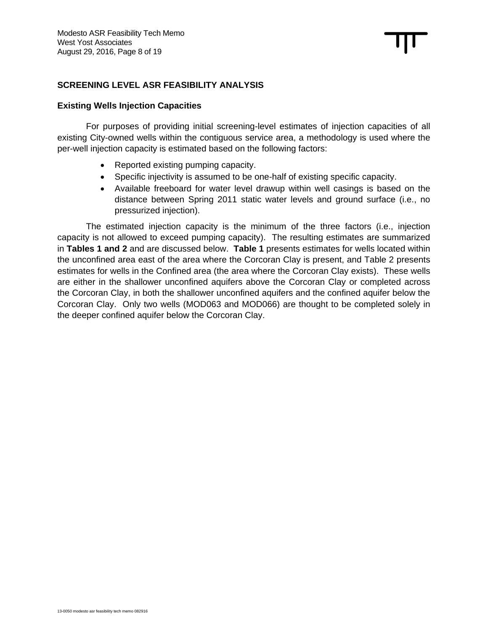# **SCREENING LEVEL ASR FEASIBILITY ANALYSIS**

#### **Existing Wells Injection Capacities**

For purposes of providing initial screening-level estimates of injection capacities of all existing City-owned wells within the contiguous service area, a methodology is used where the per-well injection capacity is estimated based on the following factors:

- Reported existing pumping capacity.
- Specific injectivity is assumed to be one-half of existing specific capacity.
- Available freeboard for water level drawup within well casings is based on the distance between Spring 2011 static water levels and ground surface (i.e., no pressurized injection).

The estimated injection capacity is the minimum of the three factors (i.e., injection capacity is not allowed to exceed pumping capacity). The resulting estimates are summarized in **Tables 1 and 2** and are discussed below. **Table 1** presents estimates for wells located within the unconfined area east of the area where the Corcoran Clay is present, and Table 2 presents estimates for wells in the Confined area (the area where the Corcoran Clay exists). These wells are either in the shallower unconfined aquifers above the Corcoran Clay or completed across the Corcoran Clay, in both the shallower unconfined aquifers and the confined aquifer below the Corcoran Clay. Only two wells (MOD063 and MOD066) are thought to be completed solely in the deeper confined aquifer below the Corcoran Clay.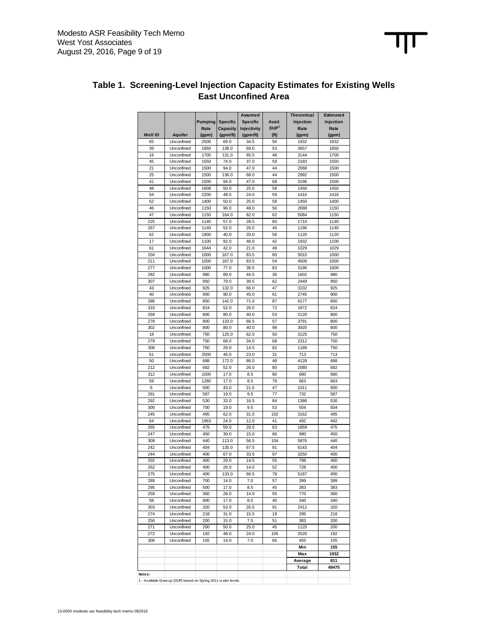

# **Table 1. Screening-Level Injection Capacity Estimates for Existing Wells East Unconfined Area**

1 - Available Draw up (DUP) based on Spring 2011 w ater levels.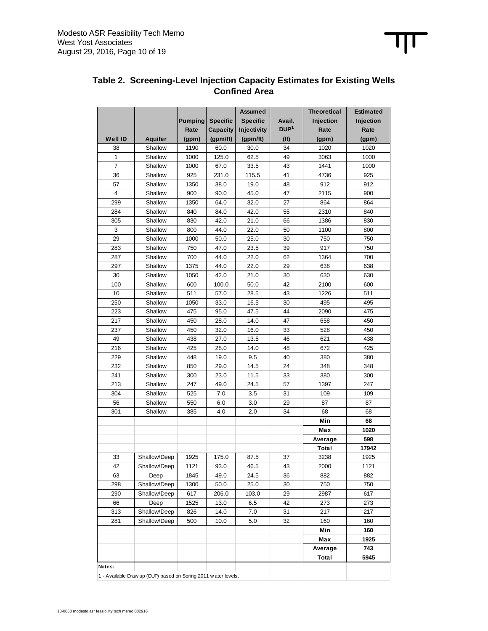

# **Table 2. Screening-Level Injection Capacity Estimates for Existing Wells Confined Area**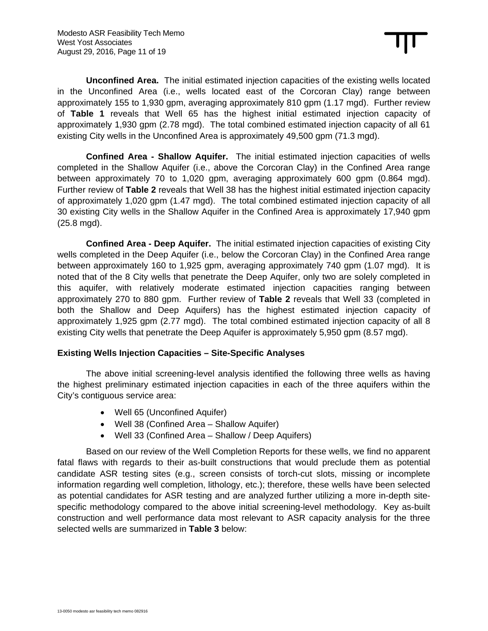**Unconfined Area.** The initial estimated injection capacities of the existing wells located in the Unconfined Area (i.e., wells located east of the Corcoran Clay) range between approximately 155 to 1,930 gpm, averaging approximately 810 gpm (1.17 mgd). Further review of **Table 1** reveals that Well 65 has the highest initial estimated injection capacity of approximately 1,930 gpm (2.78 mgd). The total combined estimated injection capacity of all 61 existing City wells in the Unconfined Area is approximately 49,500 gpm (71.3 mgd).

**Confined Area - Shallow Aquifer.** The initial estimated injection capacities of wells completed in the Shallow Aquifer (i.e., above the Corcoran Clay) in the Confined Area range between approximately 70 to 1,020 gpm, averaging approximately 600 gpm (0.864 mgd). Further review of **Table 2** reveals that Well 38 has the highest initial estimated injection capacity of approximately 1,020 gpm (1.47 mgd). The total combined estimated injection capacity of all 30 existing City wells in the Shallow Aquifer in the Confined Area is approximately 17,940 gpm (25.8 mgd).

**Confined Area - Deep Aquifer.** The initial estimated injection capacities of existing City wells completed in the Deep Aquifer (i.e., below the Corcoran Clay) in the Confined Area range between approximately 160 to 1,925 gpm, averaging approximately 740 gpm (1.07 mgd). It is noted that of the 8 City wells that penetrate the Deep Aquifer, only two are solely completed in this aquifer, with relatively moderate estimated injection capacities ranging between approximately 270 to 880 gpm. Further review of **Table 2** reveals that Well 33 (completed in both the Shallow and Deep Aquifers) has the highest estimated injection capacity of approximately 1,925 gpm (2.77 mgd). The total combined estimated injection capacity of all 8 existing City wells that penetrate the Deep Aquifer is approximately 5,950 gpm (8.57 mgd).

# **Existing Wells Injection Capacities – Site-Specific Analyses**

The above initial screening-level analysis identified the following three wells as having the highest preliminary estimated injection capacities in each of the three aquifers within the City's contiguous service area:

- Well 65 (Unconfined Aquifer)
- Well 38 (Confined Area Shallow Aquifer)
- Well 33 (Confined Area Shallow / Deep Aquifers)

Based on our review of the Well Completion Reports for these wells, we find no apparent fatal flaws with regards to their as-built constructions that would preclude them as potential candidate ASR testing sites (e.g., screen consists of torch-cut slots, missing or incomplete information regarding well completion, lithology, etc.); therefore, these wells have been selected as potential candidates for ASR testing and are analyzed further utilizing a more in-depth sitespecific methodology compared to the above initial screening-level methodology. Key as-built construction and well performance data most relevant to ASR capacity analysis for the three selected wells are summarized in **Table 3** below: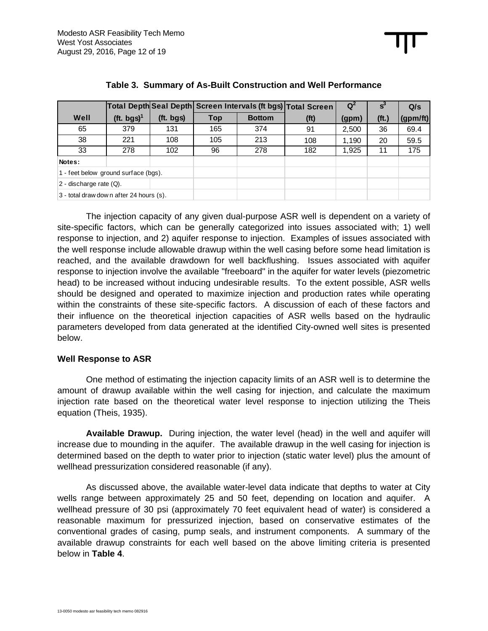|                                          |               |           |     |               | Total Depth Seal Depth Screen Intervals (ft bgs) Total Screen | Q     |                   | Q/s      |
|------------------------------------------|---------------|-----------|-----|---------------|---------------------------------------------------------------|-------|-------------------|----------|
| Well                                     | (ft. bgs) $1$ | (ft. bgs) | Top | <b>Bottom</b> | (f <sup>t</sup> )                                             | (gpm) | (f <sub>t</sub> ) | (gpm/ft) |
| 65                                       | 379           | 131       | 165 | 374           | 91                                                            | 2,500 | 36                | 69.4     |
| 38                                       | 221           | 108       | 105 | 213           | 108                                                           | 1.190 | 20                | 59.5     |
| 33                                       | 278           | 102       | 96  | 278           | 182                                                           | 1,925 | 11                | 175      |
| Notes:                                   |               |           |     |               |                                                               |       |                   |          |
| 1 - feet below ground surface (bgs).     |               |           |     |               |                                                               |       |                   |          |
| $2$ - discharge rate $(Q)$ .             |               |           |     |               |                                                               |       |                   |          |
| 3 - total draw dow n after 24 hours (s). |               |           |     |               |                                                               |       |                   |          |

## **Table 3. Summary of As-Built Construction and Well Performance**

The injection capacity of any given dual-purpose ASR well is dependent on a variety of site-specific factors, which can be generally categorized into issues associated with; 1) well response to injection, and 2) aquifer response to injection. Examples of issues associated with the well response include allowable drawup within the well casing before some head limitation is reached, and the available drawdown for well backflushing. Issues associated with aquifer response to injection involve the available "freeboard" in the aquifer for water levels (piezometric head) to be increased without inducing undesirable results. To the extent possible, ASR wells should be designed and operated to maximize injection and production rates while operating within the constraints of these site-specific factors. A discussion of each of these factors and their influence on the theoretical injection capacities of ASR wells based on the hydraulic parameters developed from data generated at the identified City-owned well sites is presented below.

#### **Well Response to ASR**

One method of estimating the injection capacity limits of an ASR well is to determine the amount of drawup available within the well casing for injection, and calculate the maximum injection rate based on the theoretical water level response to injection utilizing the Theis equation (Theis, 1935).

**Available Drawup.** During injection, the water level (head) in the well and aquifer will increase due to mounding in the aquifer. The available drawup in the well casing for injection is determined based on the depth to water prior to injection (static water level) plus the amount of wellhead pressurization considered reasonable (if any).

As discussed above, the available water-level data indicate that depths to water at City wells range between approximately 25 and 50 feet, depending on location and aquifer. A wellhead pressure of 30 psi (approximately 70 feet equivalent head of water) is considered a reasonable maximum for pressurized injection, based on conservative estimates of the conventional grades of casing, pump seals, and instrument components. A summary of the available drawup constraints for each well based on the above limiting criteria is presented below in **Table 4**.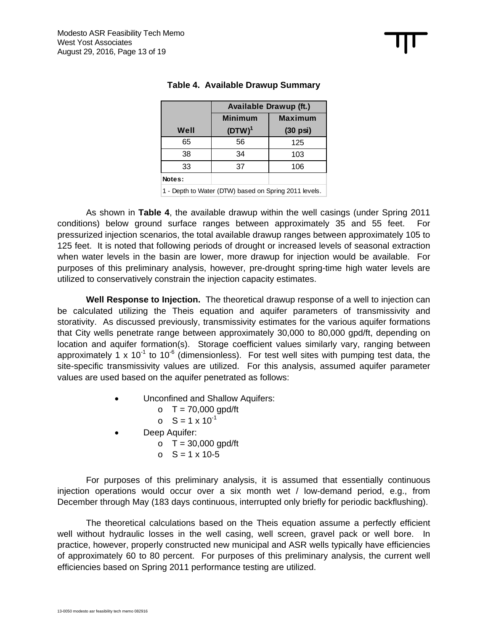|        | <b>Available Drawup (ft.)</b> |                    |  |  |  |  |
|--------|-------------------------------|--------------------|--|--|--|--|
|        | <b>Minimum</b>                | <b>Maximum</b>     |  |  |  |  |
| Well   | $(DTW)^1$                     | $(30 \text{ psi})$ |  |  |  |  |
| 65     | 56                            | 125                |  |  |  |  |
| 38     | 34                            | 103                |  |  |  |  |
| 33     | 37                            | 106                |  |  |  |  |
| Notes: |                               |                    |  |  |  |  |
|        |                               |                    |  |  |  |  |

# **Table 4. Available Drawup Summary**

1 - Depth to Water (DTW) based on Spring 2011 levels.

As shown in **Table 4**, the available drawup within the well casings (under Spring 2011 conditions) below ground surface ranges between approximately 35 and 55 feet. For pressurized injection scenarios, the total available drawup ranges between approximately 105 to 125 feet. It is noted that following periods of drought or increased levels of seasonal extraction when water levels in the basin are lower, more drawup for injection would be available. For purposes of this preliminary analysis, however, pre-drought spring-time high water levels are utilized to conservatively constrain the injection capacity estimates.

**Well Response to Injection.** The theoretical drawup response of a well to injection can be calculated utilizing the Theis equation and aquifer parameters of transmissivity and storativity. As discussed previously, transmissivity estimates for the various aquifer formations that City wells penetrate range between approximately 30,000 to 80,000 gpd/ft, depending on location and aquifer formation(s). Storage coefficient values similarly vary, ranging between approximately 1 x 10<sup>-1</sup> to 10<sup>-6</sup> (dimensionless). For test well sites with pumping test data, the site-specific transmissivity values are utilized. For this analysis, assumed aquifer parameter values are used based on the aquifer penetrated as follows:

- Unconfined and Shallow Aquifers:
	- $O T = 70,000$  gpd/ft
	- $\circ$  S = 1 x 10<sup>-1</sup>
- Deep Aquifer:
	- $O T = 30,000$  gpd/ft
	- $S = 1 \times 10^{-5}$

For purposes of this preliminary analysis, it is assumed that essentially continuous injection operations would occur over a six month wet / low-demand period, e.g., from December through May (183 days continuous, interrupted only briefly for periodic backflushing).

The theoretical calculations based on the Theis equation assume a perfectly efficient well without hydraulic losses in the well casing, well screen, gravel pack or well bore. In practice, however, properly constructed new municipal and ASR wells typically have efficiencies of approximately 60 to 80 percent. For purposes of this preliminary analysis, the current well efficiencies based on Spring 2011 performance testing are utilized.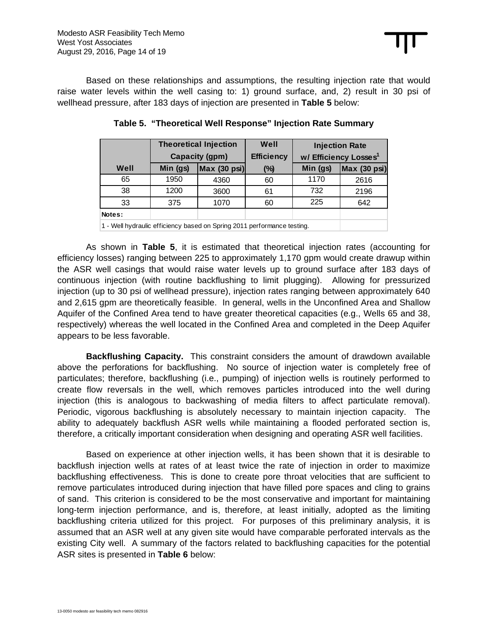Based on these relationships and assumptions, the resulting injection rate that would raise water levels within the well casing to: 1) ground surface, and, 2) result in 30 psi of wellhead pressure, after 183 days of injection are presented in **Table 5** below:

|        | <b>Theoretical Injection</b> |                         | Well              |          | <b>Injection Rate</b>             |
|--------|------------------------------|-------------------------|-------------------|----------|-----------------------------------|
|        | Capacity (gpm)               |                         | <b>Efficiency</b> |          | w/ Efficiency Losses <sup>1</sup> |
| Well   | Min (gs)                     | $\textsf{Max}$ (30 psi) | $(\%)$            | Min (gs) | <b>Max (30 psi)</b>               |
| 65     | 1950                         | 4360                    | 60                | 1170     | 2616                              |
| 38     | 1200                         | 3600                    | 61                | 732      | 2196                              |
| 33     | 375                          | 1070                    | 60                | 225      | 642                               |
| Notes: |                              |                         |                   |          |                                   |
| .      |                              |                         |                   |          |                                   |

**Table 5. "Theoretical Well Response" Injection Rate Summary** 

1 - Well hydraulic efficiency based on Spring 2011 performance testing.

As shown in **Table 5**, it is estimated that theoretical injection rates (accounting for efficiency losses) ranging between 225 to approximately 1,170 gpm would create drawup within the ASR well casings that would raise water levels up to ground surface after 183 days of continuous injection (with routine backflushing to limit plugging). Allowing for pressurized injection (up to 30 psi of wellhead pressure), injection rates ranging between approximately 640 and 2,615 gpm are theoretically feasible. In general, wells in the Unconfined Area and Shallow Aquifer of the Confined Area tend to have greater theoretical capacities (e.g., Wells 65 and 38, respectively) whereas the well located in the Confined Area and completed in the Deep Aquifer appears to be less favorable.

**Backflushing Capacity.** This constraint considers the amount of drawdown available above the perforations for backflushing. No source of injection water is completely free of particulates; therefore, backflushing (i.e., pumping) of injection wells is routinely performed to create flow reversals in the well, which removes particles introduced into the well during injection (this is analogous to backwashing of media filters to affect particulate removal). Periodic, vigorous backflushing is absolutely necessary to maintain injection capacity. The ability to adequately backflush ASR wells while maintaining a flooded perforated section is, therefore, a critically important consideration when designing and operating ASR well facilities.

Based on experience at other injection wells, it has been shown that it is desirable to backflush injection wells at rates of at least twice the rate of injection in order to maximize backflushing effectiveness. This is done to create pore throat velocities that are sufficient to remove particulates introduced during injection that have filled pore spaces and cling to grains of sand. This criterion is considered to be the most conservative and important for maintaining long-term injection performance, and is, therefore, at least initially, adopted as the limiting backflushing criteria utilized for this project. For purposes of this preliminary analysis, it is assumed that an ASR well at any given site would have comparable perforated intervals as the existing City well. A summary of the factors related to backflushing capacities for the potential ASR sites is presented in **Table 6** below: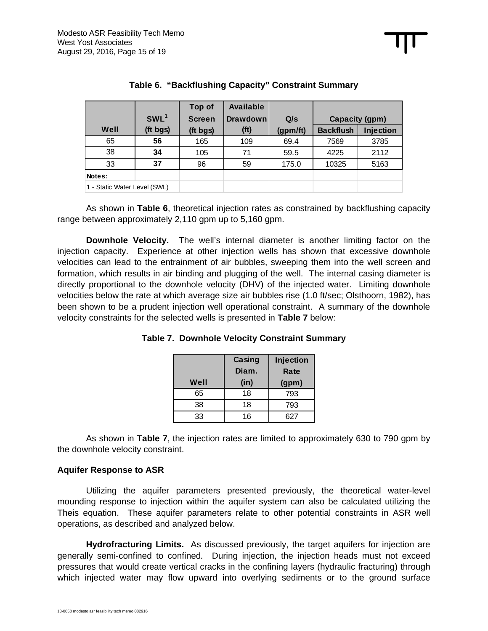|                              |                  | Top of        | <b>Available</b>  |          |                  |                  |
|------------------------------|------------------|---------------|-------------------|----------|------------------|------------------|
|                              | SWL <sup>1</sup> | <b>Screen</b> | <b>Drawdown</b>   | Q/s      | Capacity (gpm)   |                  |
| Well                         | (ft bgs)         | (ft bgs)      | (f <sup>t</sup> ) | (gpm/ft) | <b>Backflush</b> | <b>Injection</b> |
| 65                           | 56               | 165           | 109               | 69.4     | 7569             | 3785             |
| 38                           | 34               | 105           | 71                | 59.5     | 4225             | 2112             |
| 33                           | 37               | 96            | 59                | 175.0    | 10325            | 5163             |
| Notes:                       |                  |               |                   |          |                  |                  |
| 1 - Static Water Level (SWL) |                  |               |                   |          |                  |                  |

# **Table 6. "Backflushing Capacity" Constraint Summary**

As shown in **Table 6**, theoretical injection rates as constrained by backflushing capacity range between approximately 2,110 gpm up to 5,160 gpm.

**Downhole Velocity.** The well's internal diameter is another limiting factor on the injection capacity. Experience at other injection wells has shown that excessive downhole velocities can lead to the entrainment of air bubbles, sweeping them into the well screen and formation, which results in air binding and plugging of the well. The internal casing diameter is directly proportional to the downhole velocity (DHV) of the injected water. Limiting downhole velocities below the rate at which average size air bubbles rise (1.0 ft/sec; Olsthoorn, 1982), has been shown to be a prudent injection well operational constraint. A summary of the downhole velocity constraints for the selected wells is presented in **Table 7** below:

|      | Casing<br>Injection<br>Diam.<br>Rate |       |
|------|--------------------------------------|-------|
| Well | (in)                                 | (gpm) |
| 65   | 18                                   | 793   |
| 38   | 18                                   | 793   |
| 33   | 16                                   | 627   |

As shown in **Table 7**, the injection rates are limited to approximately 630 to 790 gpm by the downhole velocity constraint.

#### **Aquifer Response to ASR**

Utilizing the aquifer parameters presented previously, the theoretical water-level mounding response to injection within the aquifer system can also be calculated utilizing the Theis equation. These aquifer parameters relate to other potential constraints in ASR well operations, as described and analyzed below.

**Hydrofracturing Limits.** As discussed previously, the target aquifers for injection are generally semi-confined to confined*.* During injection, the injection heads must not exceed pressures that would create vertical cracks in the confining layers (hydraulic fracturing) through which injected water may flow upward into overlying sediments or to the ground surface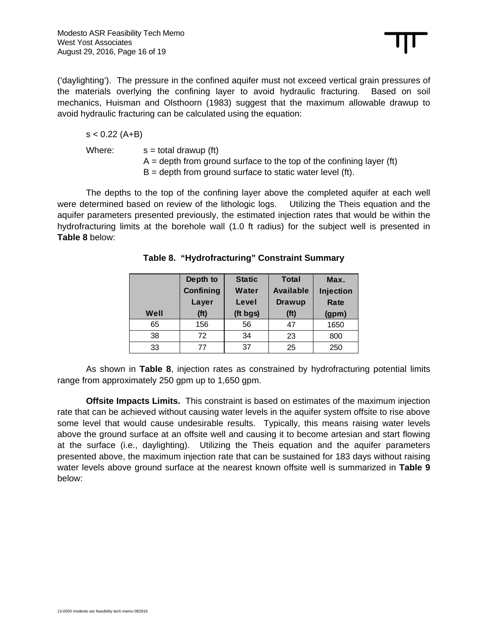('daylighting'). The pressure in the confined aquifer must not exceed vertical grain pressures of the materials overlying the confining layer to avoid hydraulic fracturing. Based on soil mechanics, Huisman and Olsthoorn (1983) suggest that the maximum allowable drawup to avoid hydraulic fracturing can be calculated using the equation:

## $s < 0.22$  (A+B)

Where:  $s =$  total drawup (ft)

 $A =$  depth from ground surface to the top of the confining layer (ft)  $B =$  depth from ground surface to static water level (ft).

The depths to the top of the confining layer above the completed aquifer at each well were determined based on review of the lithologic logs.Utilizing the Theis equation and the aquifer parameters presented previously, the estimated injection rates that would be within the hydrofracturing limits at the borehole wall (1.0 ft radius) for the subject well is presented in **Table 8** below:

|      | Depth to          | <b>Static</b> | <b>Total</b>      | Max.      |
|------|-------------------|---------------|-------------------|-----------|
|      | Confining         | Water         | <b>Available</b>  | Injection |
|      | Layer             | Level         | Drawup            |           |
| Well | (f <sup>t</sup> ) | (ft bgs)      | (f <sup>t</sup> ) | (gpm)     |
| 65   | 156               | 56            | 47                | 1650      |
| 38   | 72                | 34            | 23                | 800       |
| 33   | 77                | 37            | 25                | 250       |

**Table 8. "Hydrofracturing" Constraint Summary** 

As shown in **Table 8**, injection rates as constrained by hydrofracturing potential limits range from approximately 250 gpm up to 1,650 gpm.

**Offsite Impacts Limits.** This constraint is based on estimates of the maximum injection rate that can be achieved without causing water levels in the aquifer system offsite to rise above some level that would cause undesirable results. Typically, this means raising water levels above the ground surface at an offsite well and causing it to become artesian and start flowing at the surface (i.e., daylighting). Utilizing the Theis equation and the aquifer parameters presented above, the maximum injection rate that can be sustained for 183 days without raising water levels above ground surface at the nearest known offsite well is summarized in **Table 9** below: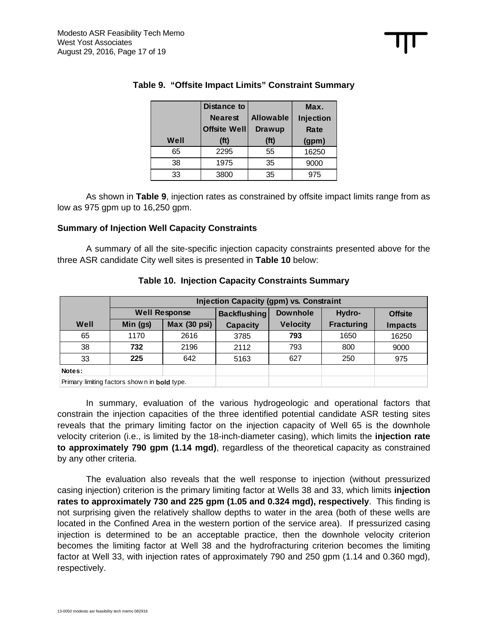|      | <b>Distance to</b> |                   | Max.  |  |
|------|--------------------|-------------------|-------|--|
|      | <b>Nearest</b>     | <b>Allowable</b>  |       |  |
|      | Offsite Well       | Drawup            | Rate  |  |
| Well | (f <sup>t</sup> )  | (f <sup>t</sup> ) | (gpm) |  |
| 65   | 2295               | 55                | 16250 |  |
| 38   | 1975               | 35                | 9000  |  |
| 33   | 3800               | 35                | 975   |  |

# **Table 9. "Offsite Impact Limits" Constraint Summary**

As shown in **Table 9**, injection rates as constrained by offsite impact limits range from as low as 975 gpm up to 16,250 gpm.

# **Summary of Injection Well Capacity Constraints**

A summary of all the site-specific injection capacity constraints presented above for the three ASR candidate City well sites is presented in **Table 10** below:

|                                                      | <b>Injection Capacity (gpm) vs. Constraint</b> |              |                     |                 |                   |                |  |
|------------------------------------------------------|------------------------------------------------|--------------|---------------------|-----------------|-------------------|----------------|--|
|                                                      | <b>Well Response</b>                           |              | <b>Backflushing</b> | <b>Downhole</b> | Hydro-            | <b>Offsite</b> |  |
| Well                                                 | Min (gs)                                       | Max (30 psi) | <b>Capacity</b>     | <b>Velocity</b> | <b>Fracturing</b> | <b>Impacts</b> |  |
| 65                                                   | 1170                                           | 2616         | 3785                | 793             | 1650              | 16250          |  |
| 38                                                   | 732                                            | 2196         | 2112                | 793             | 800               | 9000           |  |
| 33                                                   | 225                                            | 642          | 5163                | 627             | 250               | 975            |  |
| Notes:                                               |                                                |              |                     |                 |                   |                |  |
| Primary limiting factors show n in <b>bold</b> type. |                                                |              |                     |                 |                   |                |  |

#### **Table 10. Injection Capacity Constraints Summary**

In summary, evaluation of the various hydrogeologic and operational factors that constrain the injection capacities of the three identified potential candidate ASR testing sites reveals that the primary limiting factor on the injection capacity of Well 65 is the downhole velocity criterion (i.e., is limited by the 18-inch-diameter casing), which limits the **injection rate to approximately 790 gpm (1.14 mgd)**, regardless of the theoretical capacity as constrained by any other criteria.

The evaluation also reveals that the well response to injection (without pressurized casing injection) criterion is the primary limiting factor at Wells 38 and 33, which limits **injection rates to approximately 730 and 225 gpm (1.05 and 0.324 mgd), respectively**. This finding is not surprising given the relatively shallow depths to water in the area (both of these wells are located in the Confined Area in the western portion of the service area). If pressurized casing injection is determined to be an acceptable practice, then the downhole velocity criterion becomes the limiting factor at Well 38 and the hydrofracturing criterion becomes the limiting factor at Well 33, with injection rates of approximately 790 and 250 gpm (1.14 and 0.360 mgd), respectively.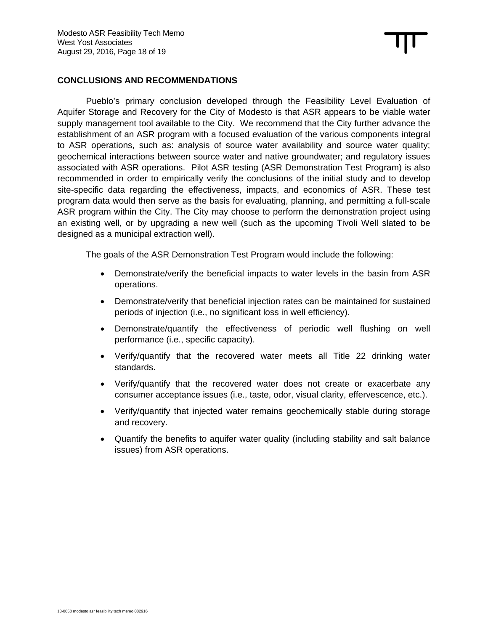# **CONCLUSIONS AND RECOMMENDATIONS**

Pueblo's primary conclusion developed through the Feasibility Level Evaluation of Aquifer Storage and Recovery for the City of Modesto is that ASR appears to be viable water supply management tool available to the City. We recommend that the City further advance the establishment of an ASR program with a focused evaluation of the various components integral to ASR operations, such as: analysis of source water availability and source water quality; geochemical interactions between source water and native groundwater; and regulatory issues associated with ASR operations. Pilot ASR testing (ASR Demonstration Test Program) is also recommended in order to empirically verify the conclusions of the initial study and to develop site-specific data regarding the effectiveness, impacts, and economics of ASR. These test program data would then serve as the basis for evaluating, planning, and permitting a full-scale ASR program within the City. The City may choose to perform the demonstration project using an existing well, or by upgrading a new well (such as the upcoming Tivoli Well slated to be designed as a municipal extraction well).

The goals of the ASR Demonstration Test Program would include the following:

- Demonstrate/verify the beneficial impacts to water levels in the basin from ASR operations.
- Demonstrate/verify that beneficial injection rates can be maintained for sustained periods of injection (i.e., no significant loss in well efficiency).
- Demonstrate/quantify the effectiveness of periodic well flushing on well performance (i.e., specific capacity).
- Verify/quantify that the recovered water meets all Title 22 drinking water standards.
- Verify/quantify that the recovered water does not create or exacerbate any consumer acceptance issues (i.e., taste, odor, visual clarity, effervescence, etc.).
- Verify/quantify that injected water remains geochemically stable during storage and recovery.
- Quantify the benefits to aquifer water quality (including stability and salt balance issues) from ASR operations.